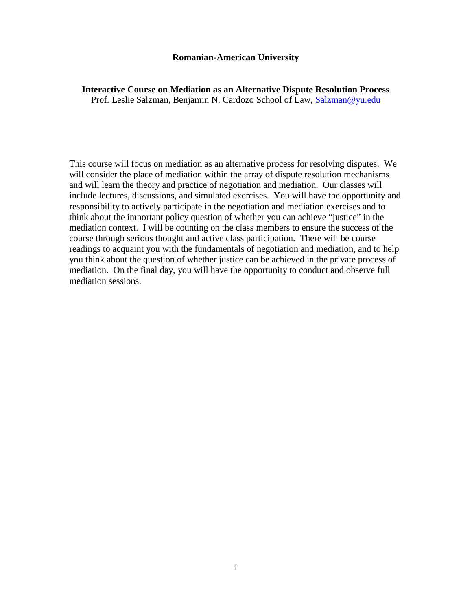#### **Romanian-American University**

**Interactive Course on Mediation as an Alternative Dispute Resolution Process** Prof. Leslie Salzman, Benjamin N. Cardozo School of Law, Salzman@yu.edu

This course will focus on mediation as an alternative process for resolving disputes. We will consider the place of mediation within the array of dispute resolution mechanisms and will learn the theory and practice of negotiation and mediation. Our classes will include lectures, discussions, and simulated exercises. You will have the opportunity and responsibility to actively participate in the negotiation and mediation exercises and to think about the important policy question of whether you can achieve "justice" in the mediation context. I will be counting on the class members to ensure the success of the course through serious thought and active class participation. There will be course readings to acquaint you with the fundam[entals of negotiatio](mailto:Salzman@yu.edu)n and mediation, and to help you think about the question of whether justice can be achieved in the private process of mediation. On the final day, you will have the opportunity to conduct and observe full mediation sessions.